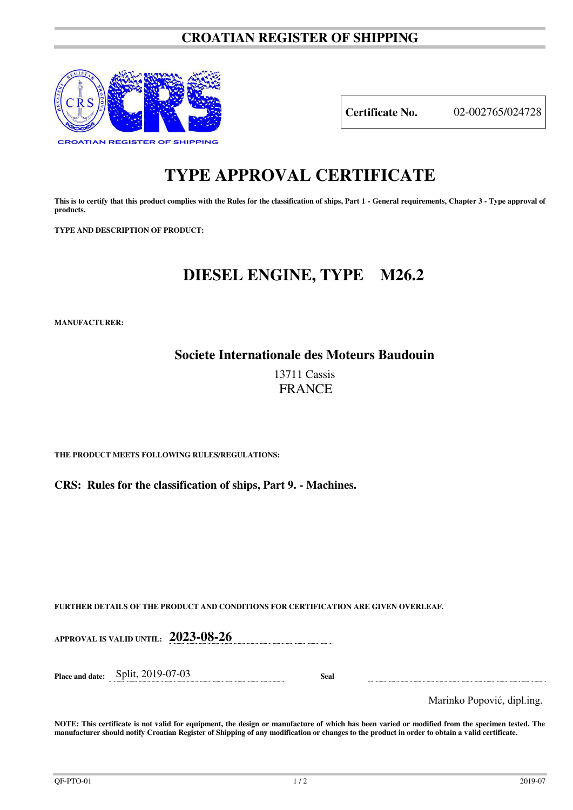#### **CROATIAN REGISTER OF SHIPPING**



**Certificate No.** 02-002765/024728

# **TYPE APPROVAL CERTIFICATE**

This is to certify that this product complies with the Rules for the classification of ships, Part 1 - General requirements, Chapter 3 - Type approval of **products.** 

**TYPE AND DESCRIPTION OF PRODUCT:** 

## **DIESEL ENGINE, TYPE M26.2**

**MANUFACTURER:**

**Societe Internationale des Moteurs Baudouin** 

13711 Cassis **FRANCE** 

**THE PRODUCT MEETS FOLLOWING RULES/REGULATIONS:**

**CRS: Rules for the classification of ships, Part 9. - Machines.**

**FURTHER DETAILS OF THE PRODUCT AND CONDITIONS FOR CERTIFICATION ARE GIVEN OVERLEAF.**

**APPROVAL IS VALID UNTIL: 2023-08-26 Place and date:** Split, 2019-07-03 **Seal**  Marinko Popović, dipl.ing.

**NOTE: This certificate is not valid for equipment, the design or manufacture of which has been varied or modified from the specimen tested. The manufacturer should notify Croatian Register of Shipping of any modification or changes to the product in order to obtain a valid certificate.**